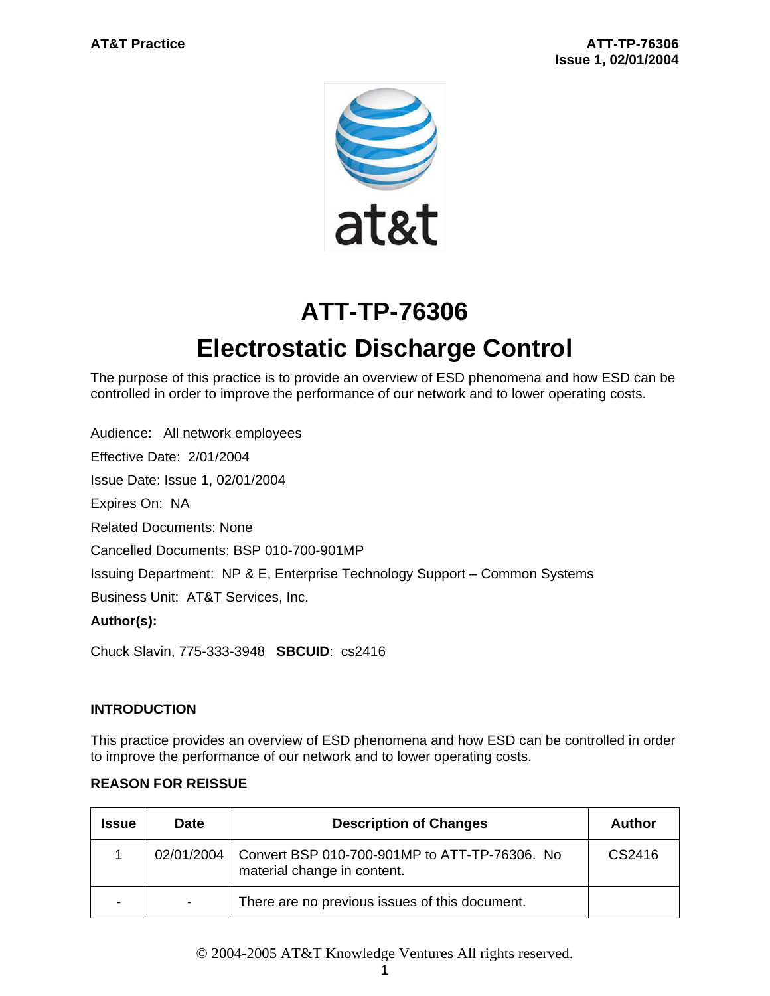

# **ATT-TP-76306 Electrostatic Discharge Control**

The purpose of this practice is to provide an overview of ESD phenomena and how ESD can be controlled in order to improve the performance of our network and to lower operating costs.

Audience: All network employees

Effective Date: 2/01/2004

Issue Date: Issue 1, 02/01/2004

Expires On: NA

Related Documents: None

Cancelled Documents: BSP 010-700-901MP

Issuing Department: NP & E, Enterprise Technology Support – Common Systems

Business Unit: AT&T Services, Inc.

#### **Author(s):**

Chuck Slavin, 775-333-3948 **SBCUID**: cs2416

#### **INTRODUCTION**

This practice provides an overview of ESD phenomena and how ESD can be controlled in order to improve the performance of our network and to lower operating costs.

#### **REASON FOR REISSUE**

| <b>Issue</b> | Date                     | <b>Description of Changes</b>                                                | Author |
|--------------|--------------------------|------------------------------------------------------------------------------|--------|
|              | 02/01/2004               | Convert BSP 010-700-901MP to ATT-TP-76306. No<br>material change in content. | CS2416 |
| -            | $\overline{\phantom{a}}$ | There are no previous issues of this document.                               |        |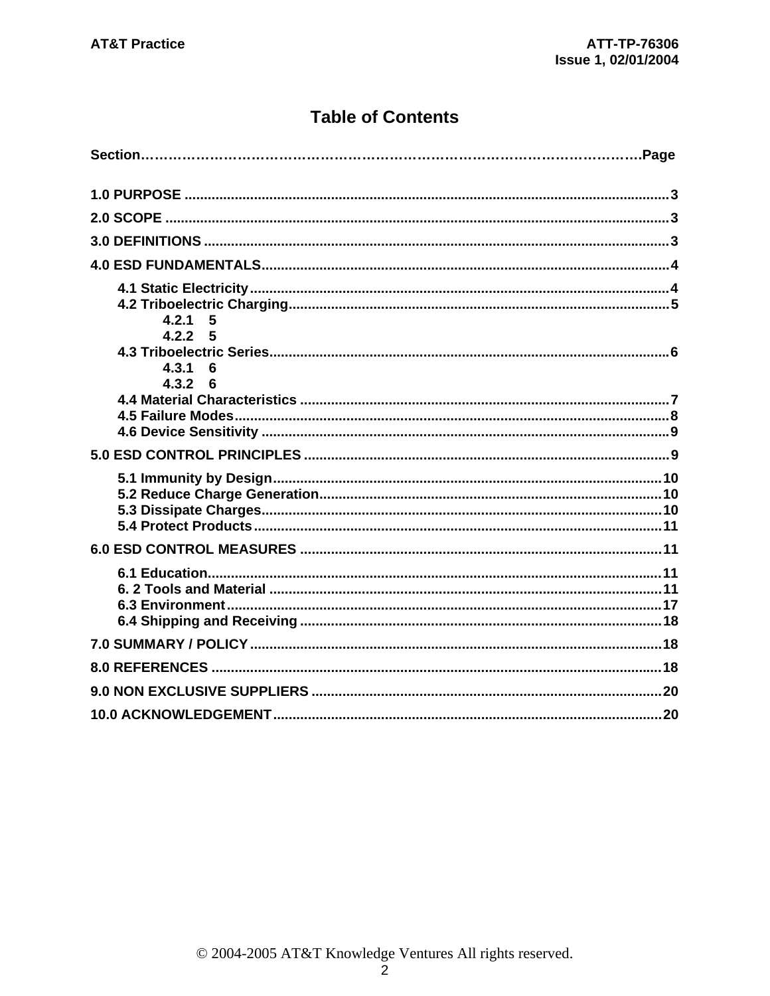### **Table of Contents**

| 4.2.1<br>5                              |
|-----------------------------------------|
| 4.2.2 5<br>4.3.1<br>6<br>$4.3.2\quad 6$ |
|                                         |
|                                         |
|                                         |
|                                         |
|                                         |
|                                         |
|                                         |
|                                         |
|                                         |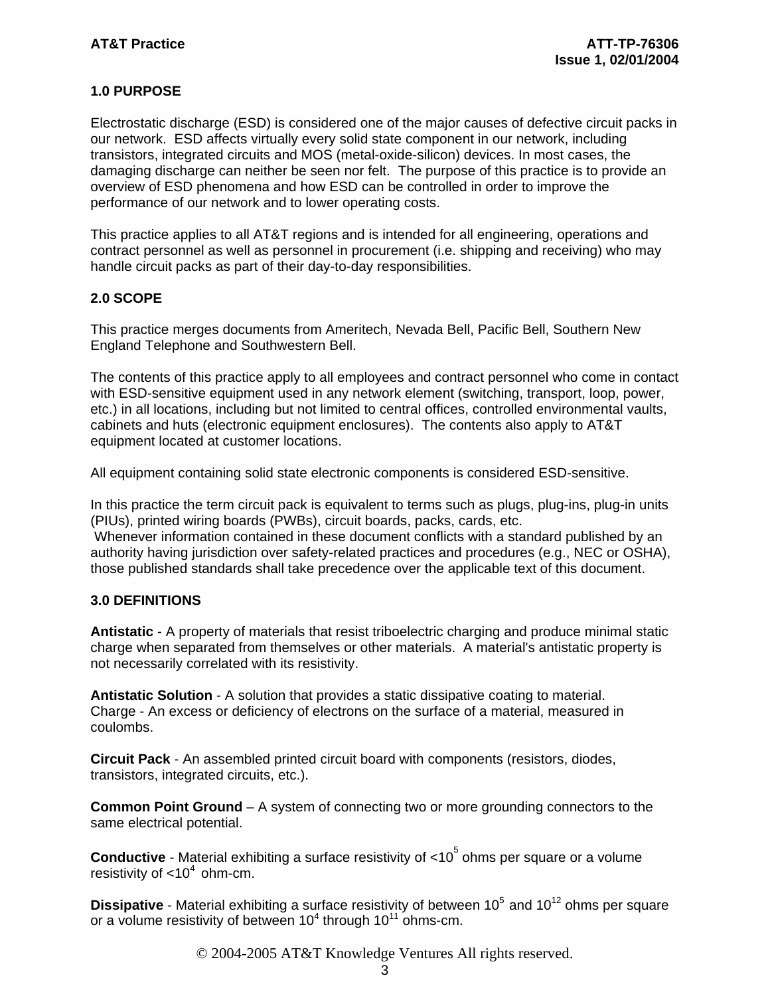#### **1.0 PURPOSE**

Electrostatic discharge (ESD) is considered one of the major causes of defective circuit packs in our network. ESD affects virtually every solid state component in our network, including transistors, integrated circuits and MOS (metal-oxide-silicon) devices. In most cases, the damaging discharge can neither be seen nor felt. The purpose of this practice is to provide an overview of ESD phenomena and how ESD can be controlled in order to improve the performance of our network and to lower operating costs.

This practice applies to all AT&T regions and is intended for all engineering, operations and contract personnel as well as personnel in procurement (i.e. shipping and receiving) who may handle circuit packs as part of their day-to-day responsibilities.

#### **2.0 SCOPE**

This practice merges documents from Ameritech, Nevada Bell, Pacific Bell, Southern New England Telephone and Southwestern Bell.

The contents of this practice apply to all employees and contract personnel who come in contact with ESD-sensitive equipment used in any network element (switching, transport, loop, power, etc.) in all locations, including but not limited to central offices, controlled environmental vaults, cabinets and huts (electronic equipment enclosures). The contents also apply to AT&T equipment located at customer locations.

All equipment containing solid state electronic components is considered ESD-sensitive.

In this practice the term circuit pack is equivalent to terms such as plugs, plug-ins, plug-in units (PIUs), printed wiring boards (PWBs), circuit boards, packs, cards, etc. Whenever information contained in these document conflicts with a standard published by an authority having jurisdiction over safety-related practices and procedures (e.g., NEC or OSHA), those published standards shall take precedence over the applicable text of this document.

#### **3.0 DEFINITIONS**

**Antistatic** - A property of materials that resist triboelectric charging and produce minimal static charge when separated from themselves or other materials. A material's antistatic property is not necessarily correlated with its resistivity.

**Antistatic Solution** - A solution that provides a static dissipative coating to material. Charge - An excess or deficiency of electrons on the surface of a material, measured in coulombs.

**Circuit Pack** - An assembled printed circuit board with components (resistors, diodes, transistors, integrated circuits, etc.).

**Common Point Ground** – A system of connecting two or more grounding connectors to the same electrical potential.

**Conductive** - Material exhibiting a surface resistivity of <10<sup>5</sup> ohms per square or a volume resistivity of  $< 10<sup>4</sup>$  ohm-cm.

**Dissipative** - Material exhibiting a surface resistivity of between 10<sup>5</sup> and 10<sup>12</sup> ohms per square or a volume resistivity of between 10<sup>4</sup> through 10<sup>11</sup> ohms-cm.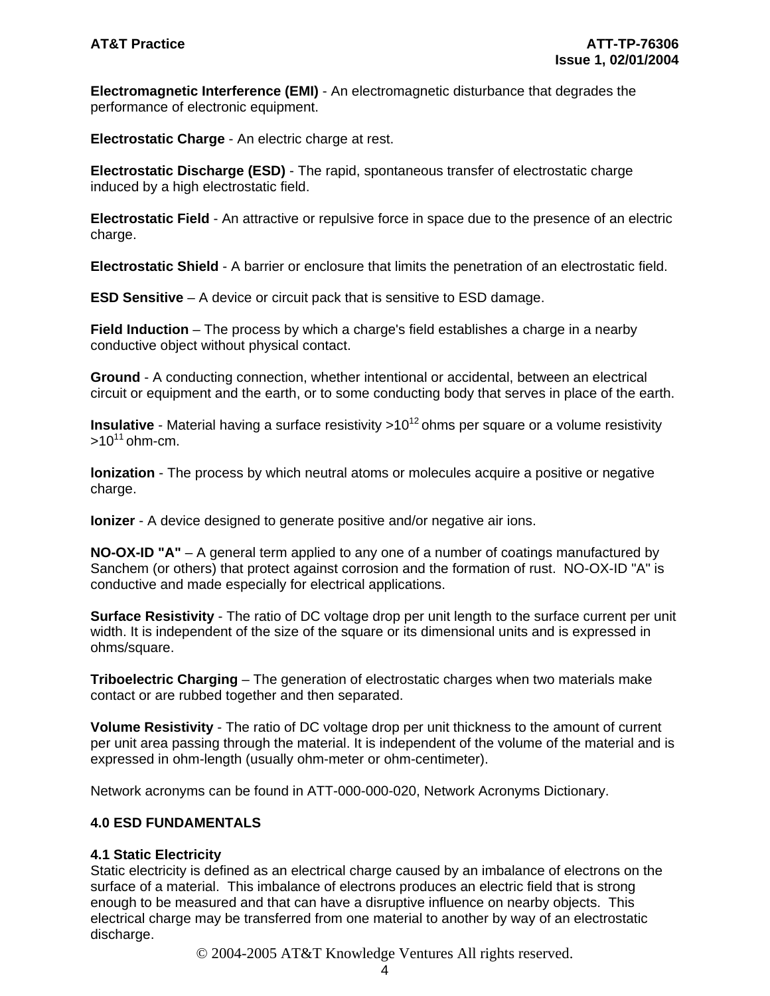**Electromagnetic Interference (EMI)** - An electromagnetic disturbance that degrades the performance of electronic equipment.

**Electrostatic Charge** - An electric charge at rest.

**Electrostatic Discharge (ESD)** - The rapid, spontaneous transfer of electrostatic charge induced by a high electrostatic field.

**Electrostatic Field** - An attractive or repulsive force in space due to the presence of an electric charge.

**Electrostatic Shield** - A barrier or enclosure that limits the penetration of an electrostatic field.

**ESD Sensitive** – A device or circuit pack that is sensitive to ESD damage.

**Field Induction** – The process by which a charge's field establishes a charge in a nearby conductive object without physical contact.

**Ground** - A conducting connection, whether intentional or accidental, between an electrical circuit or equipment and the earth, or to some conducting body that serves in place of the earth.

**Insulative** - Material having a surface resistivity >10<sup>12</sup> ohms per square or a volume resistivity  $>10^{11}$  ohm-cm.

**lonization** - The process by which neutral atoms or molecules acquire a positive or negative charge.

**Ionizer** - A device designed to generate positive and/or negative air ions.

**NO-OX-ID "A"** – A general term applied to any one of a number of coatings manufactured by Sanchem (or others) that protect against corrosion and the formation of rust. NO-OX-ID "A" is conductive and made especially for electrical applications.

**Surface Resistivity** - The ratio of DC voltage drop per unit length to the surface current per unit width. It is independent of the size of the square or its dimensional units and is expressed in ohms/square.

**Triboelectric Charging** – The generation of electrostatic charges when two materials make contact or are rubbed together and then separated.

**Volume Resistivity** - The ratio of DC voltage drop per unit thickness to the amount of current per unit area passing through the material. It is independent of the volume of the material and is expressed in ohm-length (usually ohm-meter or ohm-centimeter).

Network acronyms can be found in ATT-000-000-020, Network Acronyms Dictionary.

#### **4.0 ESD FUNDAMENTALS**

#### **4.1 Static Electricity**

Static electricity is defined as an electrical charge caused by an imbalance of electrons on the surface of a material. This imbalance of electrons produces an electric field that is strong enough to be measured and that can have a disruptive influence on nearby objects. This electrical charge may be transferred from one material to another by way of an electrostatic discharge.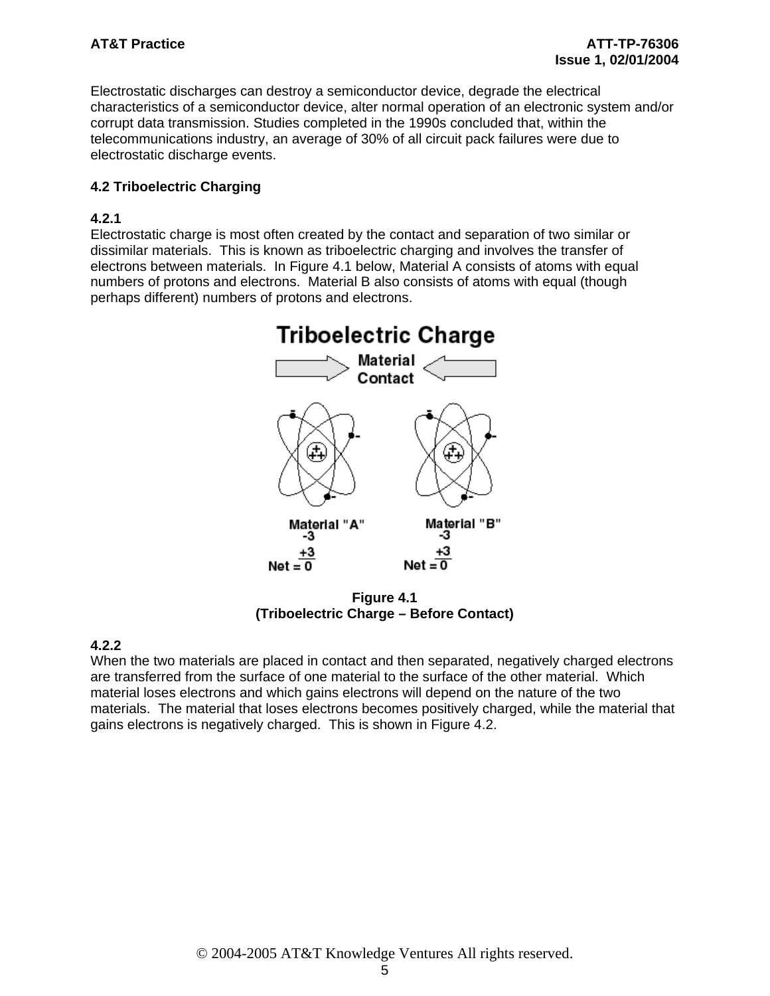Electrostatic discharges can destroy a semiconductor device, degrade the electrical characteristics of a semiconductor device, alter normal operation of an electronic system and/or corrupt data transmission. Studies completed in the 1990s concluded that, within the telecommunications industry, an average of 30% of all circuit pack failures were due to electrostatic discharge events.

#### **4.2 Triboelectric Charging**

#### **4.2.1**

Electrostatic charge is most often created by the contact and separation of two similar or dissimilar materials. This is known as triboelectric charging and involves the transfer of electrons between materials. In Figure 4.1 below, Material A consists of atoms with equal numbers of protons and electrons. Material B also consists of atoms with equal (though perhaps different) numbers of protons and electrons.



**Figure 4.1 (Triboelectric Charge – Before Contact)** 

### **4.2.2**

When the two materials are placed in contact and then separated, negatively charged electrons are transferred from the surface of one material to the surface of the other material. Which material loses electrons and which gains electrons will depend on the nature of the two materials. The material that loses electrons becomes positively charged, while the material that gains electrons is negatively charged. This is shown in Figure 4.2.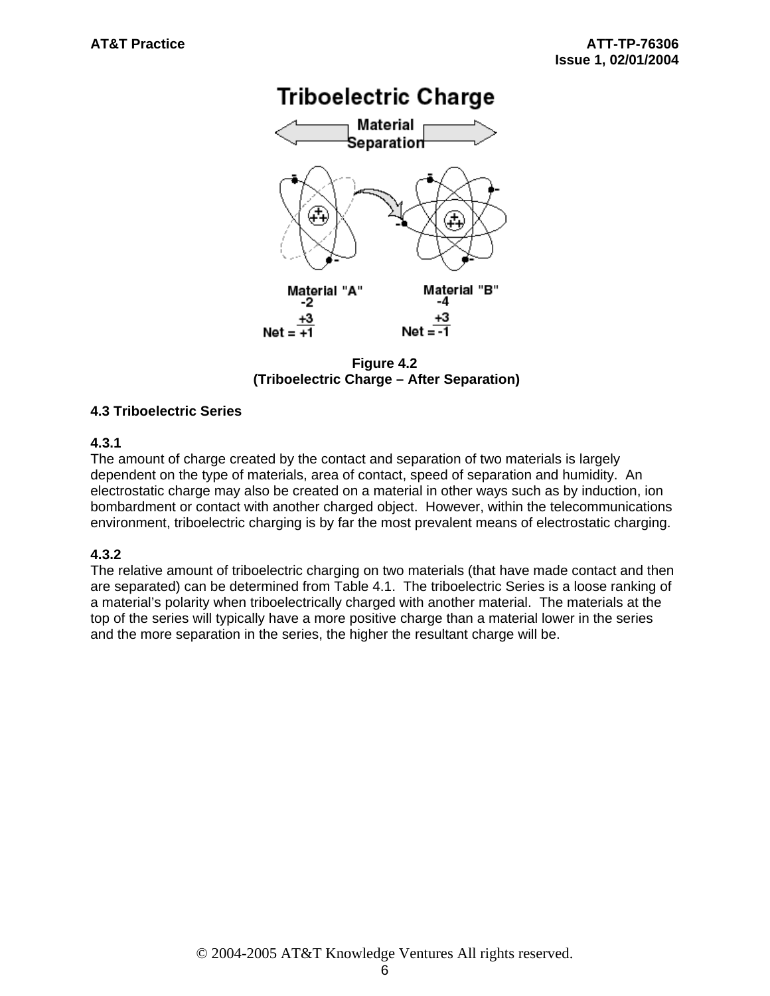## **Triboelectric Charge**



**Figure 4.2 (Triboelectric Charge – After Separation)** 

#### **4.3 Triboelectric Series**

#### **4.3.1**

The amount of charge created by the contact and separation of two materials is largely dependent on the type of materials, area of contact, speed of separation and humidity. An electrostatic charge may also be created on a material in other ways such as by induction, ion bombardment or contact with another charged object. However, within the telecommunications environment, triboelectric charging is by far the most prevalent means of electrostatic charging.

#### **4.3.2**

The relative amount of triboelectric charging on two materials (that have made contact and then are separated) can be determined from Table 4.1. The triboelectric Series is a loose ranking of a material's polarity when triboelectrically charged with another material. The materials at the top of the series will typically have a more positive charge than a material lower in the series and the more separation in the series, the higher the resultant charge will be.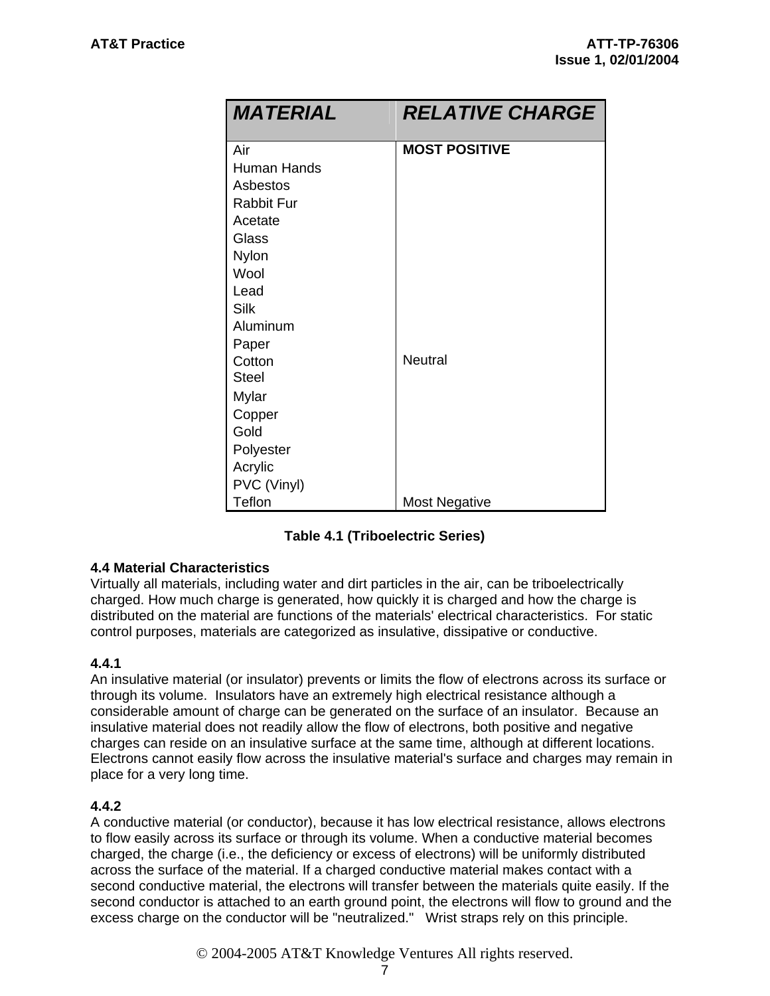| <b>MATERIAL</b>   | <b>RELATIVE CHARGE</b> |
|-------------------|------------------------|
| Air               | <b>MOST POSITIVE</b>   |
| Human Hands       |                        |
| Asbestos          |                        |
| <b>Rabbit Fur</b> |                        |
| Acetate           |                        |
| Glass             |                        |
| Nylon             |                        |
| Wool              |                        |
| Lead              |                        |
| Silk              |                        |
| Aluminum          |                        |
| Paper             |                        |
| Cotton            | <b>Neutral</b>         |
| <b>Steel</b>      |                        |
| Mylar             |                        |
| Copper            |                        |
| Gold              |                        |
| Polyester         |                        |
| Acrylic           |                        |
| PVC (Vinyl)       |                        |
| Teflon            | <b>Most Negative</b>   |

#### **4.4 Material Characteristics**

Virtually all materials, including water and dirt particles in the air, can be triboelectrically charged. How much charge is generated, how quickly it is charged and how the charge is distributed on the material are functions of the materials' electrical characteristics. For static control purposes, materials are categorized as insulative, dissipative or conductive.

#### **4.4.1**

An insulative material (or insulator) prevents or limits the flow of electrons across its surface or through its volume. Insulators have an extremely high electrical resistance although a considerable amount of charge can be generated on the surface of an insulator. Because an insulative material does not readily allow the flow of electrons, both positive and negative charges can reside on an insulative surface at the same time, although at different locations. Electrons cannot easily flow across the insulative material's surface and charges may remain in place for a very long time.

#### **4.4.2**

A conductive material (or conductor), because it has low electrical resistance, allows electrons to flow easily across its surface or through its volume. When a conductive material becomes charged, the charge (i.e., the deficiency or excess of electrons) will be uniformly distributed across the surface of the material. If a charged conductive material makes contact with a second conductive material, the electrons will transfer between the materials quite easily. If the second conductor is attached to an earth ground point, the electrons will flow to ground and the excess charge on the conductor will be "neutralized." Wrist straps rely on this principle.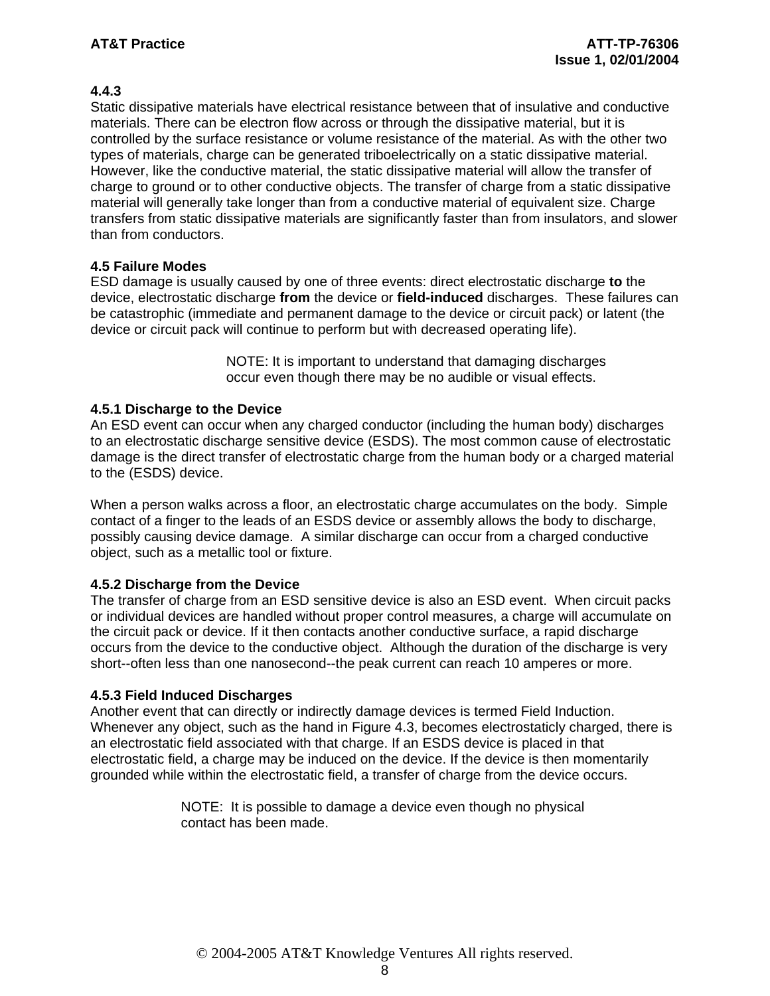#### **4.4.3**

Static dissipative materials have electrical resistance between that of insulative and conductive materials. There can be electron flow across or through the dissipative material, but it is controlled by the surface resistance or volume resistance of the material. As with the other two types of materials, charge can be generated triboelectrically on a static dissipative material. However, like the conductive material, the static dissipative material will allow the transfer of charge to ground or to other conductive objects. The transfer of charge from a static dissipative material will generally take longer than from a conductive material of equivalent size. Charge transfers from static dissipative materials are significantly faster than from insulators, and slower than from conductors.

#### **4.5 Failure Modes**

ESD damage is usually caused by one of three events: direct electrostatic discharge **to** the device, electrostatic discharge **from** the device or **field-induced** discharges. These failures can be catastrophic (immediate and permanent damage to the device or circuit pack) or latent (the device or circuit pack will continue to perform but with decreased operating life).

> NOTE: It is important to understand that damaging discharges occur even though there may be no audible or visual effects.

#### **4.5.1 Discharge to the Device**

An ESD event can occur when any charged conductor (including the human body) discharges to an electrostatic discharge sensitive device (ESDS). The most common cause of electrostatic damage is the direct transfer of electrostatic charge from the human body or a charged material to the (ESDS) device.

When a person walks across a floor, an electrostatic charge accumulates on the body. Simple contact of a finger to the leads of an ESDS device or assembly allows the body to discharge, possibly causing device damage. A similar discharge can occur from a charged conductive object, such as a metallic tool or fixture.

#### **4.5.2 Discharge from the Device**

The transfer of charge from an ESD sensitive device is also an ESD event. When circuit packs or individual devices are handled without proper control measures, a charge will accumulate on the circuit pack or device. If it then contacts another conductive surface, a rapid discharge occurs from the device to the conductive object. Although the duration of the discharge is very short--often less than one nanosecond--the peak current can reach 10 amperes or more.

#### **4.5.3 Field Induced Discharges**

Another event that can directly or indirectly damage devices is termed Field Induction. Whenever any object, such as the hand in Figure 4.3, becomes electrostaticly charged, there is an electrostatic field associated with that charge. If an ESDS device is placed in that electrostatic field, a charge may be induced on the device. If the device is then momentarily grounded while within the electrostatic field, a transfer of charge from the device occurs.

> NOTE: It is possible to damage a device even though no physical contact has been made.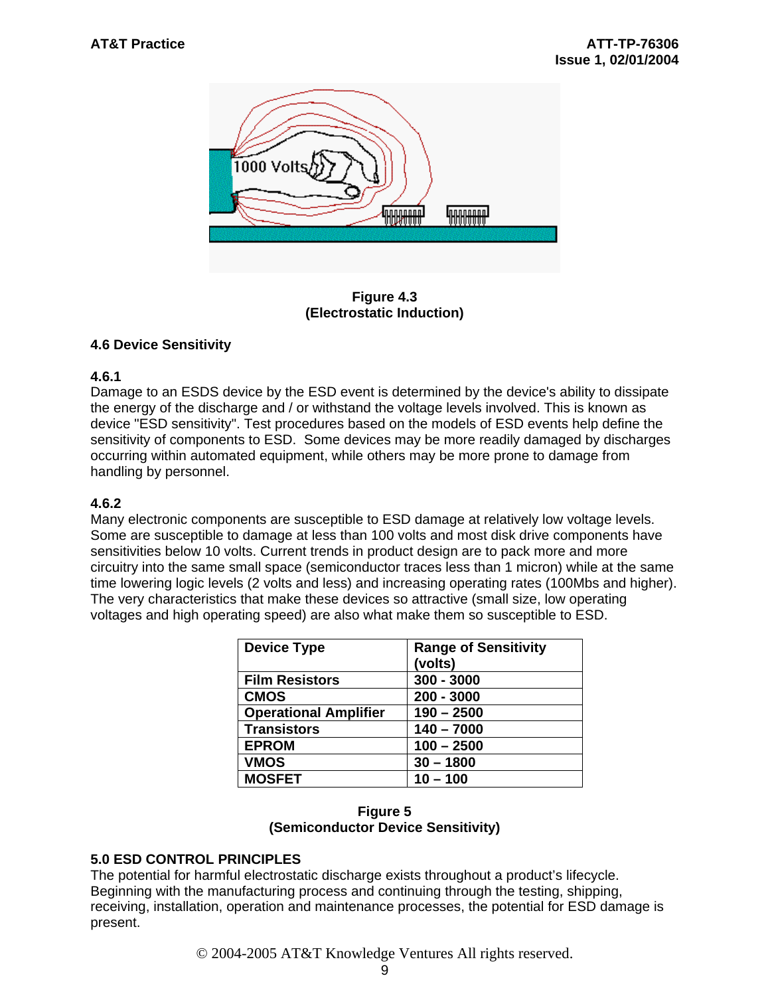

**Figure 4.3 (Electrostatic Induction)** 

#### **4.6 Device Sensitivity**

#### **4.6.1**

Damage to an ESDS device by the ESD event is determined by the device's ability to dissipate the energy of the discharge and / or withstand the voltage levels involved. This is known as device "ESD sensitivity". Test procedures based on the models of ESD events help define the sensitivity of components to ESD. Some devices may be more readily damaged by discharges occurring within automated equipment, while others may be more prone to damage from handling by personnel.

#### **4.6.2**

Many electronic components are susceptible to ESD damage at relatively low voltage levels. Some are susceptible to damage at less than 100 volts and most disk drive components have sensitivities below 10 volts. Current trends in product design are to pack more and more circuitry into the same small space (semiconductor traces less than 1 micron) while at the same time lowering logic levels (2 volts and less) and increasing operating rates (100Mbs and higher). The very characteristics that make these devices so attractive (small size, low operating voltages and high operating speed) are also what make them so susceptible to ESD.

| <b>Device Type</b>           | <b>Range of Sensitivity</b><br>(volts) |
|------------------------------|----------------------------------------|
| <b>Film Resistors</b>        | $300 - 3000$                           |
| <b>CMOS</b>                  | $200 - 3000$                           |
| <b>Operational Amplifier</b> | $190 - 2500$                           |
| <b>Transistors</b>           | $140 - 7000$                           |
| <b>EPROM</b>                 | $100 - 2500$                           |
| <b>VMOS</b>                  | $30 - 1800$                            |
| <b>MOSFET</b>                | $10 - 100$                             |

#### **Figure 5 (Semiconductor Device Sensitivity)**

### **5.0 ESD CONTROL PRINCIPLES**

The potential for harmful electrostatic discharge exists throughout a product's lifecycle. Beginning with the manufacturing process and continuing through the testing, shipping, receiving, installation, operation and maintenance processes, the potential for ESD damage is present.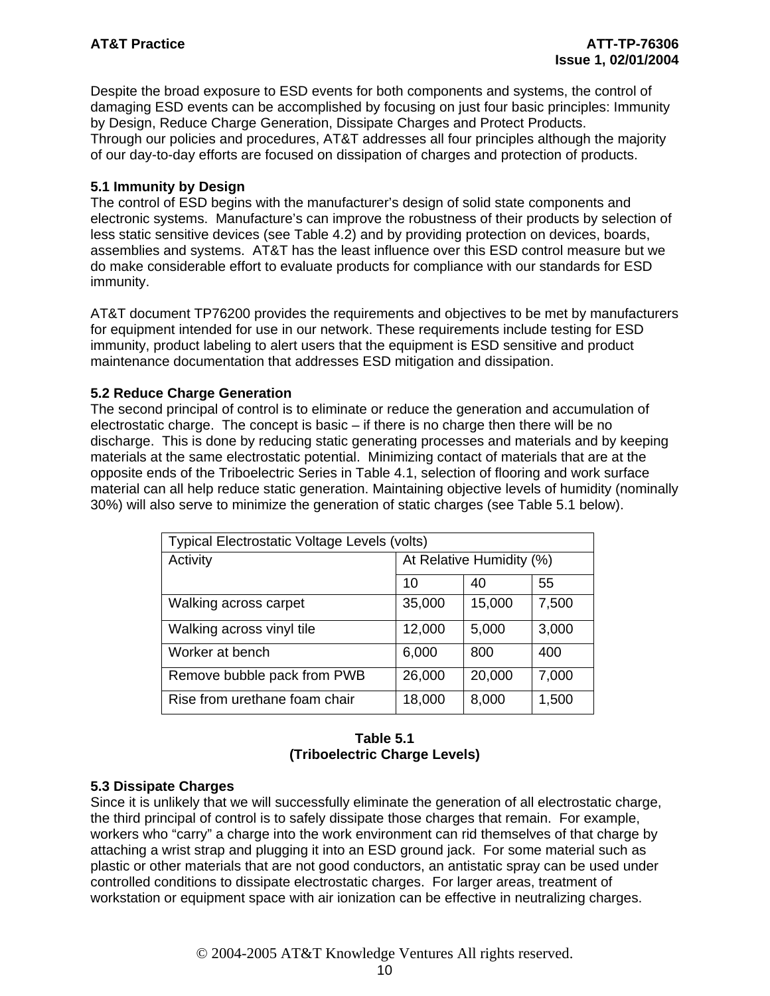Despite the broad exposure to ESD events for both components and systems, the control of damaging ESD events can be accomplished by focusing on just four basic principles: Immunity by Design, Reduce Charge Generation, Dissipate Charges and Protect Products. Through our policies and procedures, AT&T addresses all four principles although the majority of our day-to-day efforts are focused on dissipation of charges and protection of products.

#### **5.1 Immunity by Design**

The control of ESD begins with the manufacturer's design of solid state components and electronic systems. Manufacture's can improve the robustness of their products by selection of less static sensitive devices (see Table 4.2) and by providing protection on devices, boards, assemblies and systems. AT&T has the least influence over this ESD control measure but we do make considerable effort to evaluate products for compliance with our standards for ESD immunity.

AT&T document TP76200 provides the requirements and objectives to be met by manufacturers for equipment intended for use in our network. These requirements include testing for ESD immunity, product labeling to alert users that the equipment is ESD sensitive and product maintenance documentation that addresses ESD mitigation and dissipation.

#### **5.2 Reduce Charge Generation**

The second principal of control is to eliminate or reduce the generation and accumulation of electrostatic charge. The concept is basic – if there is no charge then there will be no discharge. This is done by reducing static generating processes and materials and by keeping materials at the same electrostatic potential. Minimizing contact of materials that are at the opposite ends of the Triboelectric Series in Table 4.1, selection of flooring and work surface material can all help reduce static generation. Maintaining objective levels of humidity (nominally 30%) will also serve to minimize the generation of static charges (see Table 5.1 below).

| Typical Electrostatic Voltage Levels (volts) |                          |        |       |  |  |
|----------------------------------------------|--------------------------|--------|-------|--|--|
| Activity                                     | At Relative Humidity (%) |        |       |  |  |
|                                              | 10                       | 40     | 55    |  |  |
| Walking across carpet                        | 35,000                   | 15,000 | 7,500 |  |  |
| Walking across vinyl tile                    | 12,000                   | 5,000  | 3,000 |  |  |
| Worker at bench                              | 6,000                    | 800    | 400   |  |  |
| Remove bubble pack from PWB                  | 26,000                   | 20,000 | 7,000 |  |  |
| Rise from urethane foam chair                | 18,000                   | 8,000  | 1,500 |  |  |

#### **Table 5.1 (Triboelectric Charge Levels)**

#### **5.3 Dissipate Charges**

Since it is unlikely that we will successfully eliminate the generation of all electrostatic charge, the third principal of control is to safely dissipate those charges that remain. For example, workers who "carry" a charge into the work environment can rid themselves of that charge by attaching a wrist strap and plugging it into an ESD ground jack. For some material such as plastic or other materials that are not good conductors, an antistatic spray can be used under controlled conditions to dissipate electrostatic charges. For larger areas, treatment of workstation or equipment space with air ionization can be effective in neutralizing charges.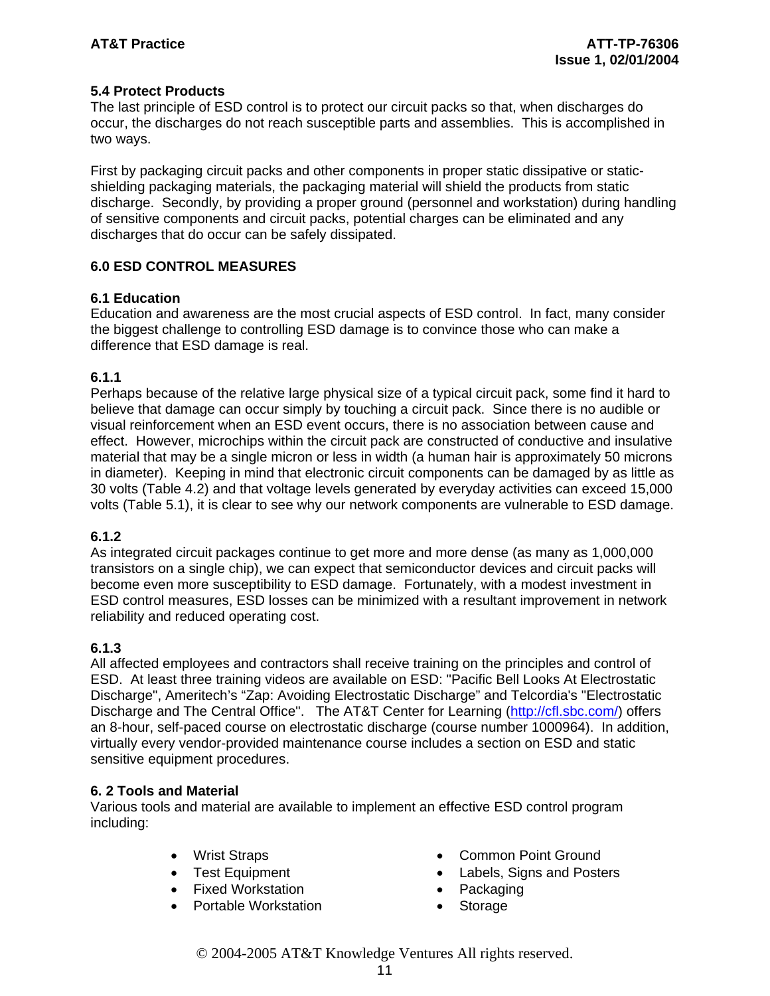#### **5.4 Protect Products**

The last principle of ESD control is to protect our circuit packs so that, when discharges do occur, the discharges do not reach susceptible parts and assemblies. This is accomplished in two ways.

First by packaging circuit packs and other components in proper static dissipative or staticshielding packaging materials, the packaging material will shield the products from static discharge. Secondly, by providing a proper ground (personnel and workstation) during handling of sensitive components and circuit packs, potential charges can be eliminated and any discharges that do occur can be safely dissipated.

#### **6.0 ESD CONTROL MEASURES**

#### **6.1 Education**

Education and awareness are the most crucial aspects of ESD control. In fact, many consider the biggest challenge to controlling ESD damage is to convince those who can make a difference that ESD damage is real.

#### **6.1.1**

Perhaps because of the relative large physical size of a typical circuit pack, some find it hard to believe that damage can occur simply by touching a circuit pack. Since there is no audible or visual reinforcement when an ESD event occurs, there is no association between cause and effect. However, microchips within the circuit pack are constructed of conductive and insulative material that may be a single micron or less in width (a human hair is approximately 50 microns in diameter). Keeping in mind that electronic circuit components can be damaged by as little as 30 volts (Table 4.2) and that voltage levels generated by everyday activities can exceed 15,000 volts (Table 5.1), it is clear to see why our network components are vulnerable to ESD damage.

### **6.1.2**

As integrated circuit packages continue to get more and more dense (as many as 1,000,000 transistors on a single chip), we can expect that semiconductor devices and circuit packs will become even more susceptibility to ESD damage. Fortunately, with a modest investment in ESD control measures, ESD losses can be minimized with a resultant improvement in network reliability and reduced operating cost.

### **6.1.3**

All affected employees and contractors shall receive training on the principles and control of ESD. At least three training videos are available on ESD: "Pacific Bell Looks At Electrostatic Discharge", Ameritech's "Zap: Avoiding Electrostatic Discharge" and Telcordia's "Electrostatic Discharge and The Central Office". The AT&T Center for Learning (http://cfl.sbc.com/) offers an 8-hour, self-paced course on electrostatic discharge (course number 1000964). In addition, virtually every vendor-provided maintenance course includes a section on ESD and static sensitive equipment procedures.

#### **6. 2 Tools and Material**

Various tools and material are available to implement an effective ESD control program including:

- 
- 
- Fixed Workstation Packaging
- **Portable Workstation Storage**
- Wrist Straps Common Point Ground
- Test Equipment Labels, Signs and Posters
	-
	-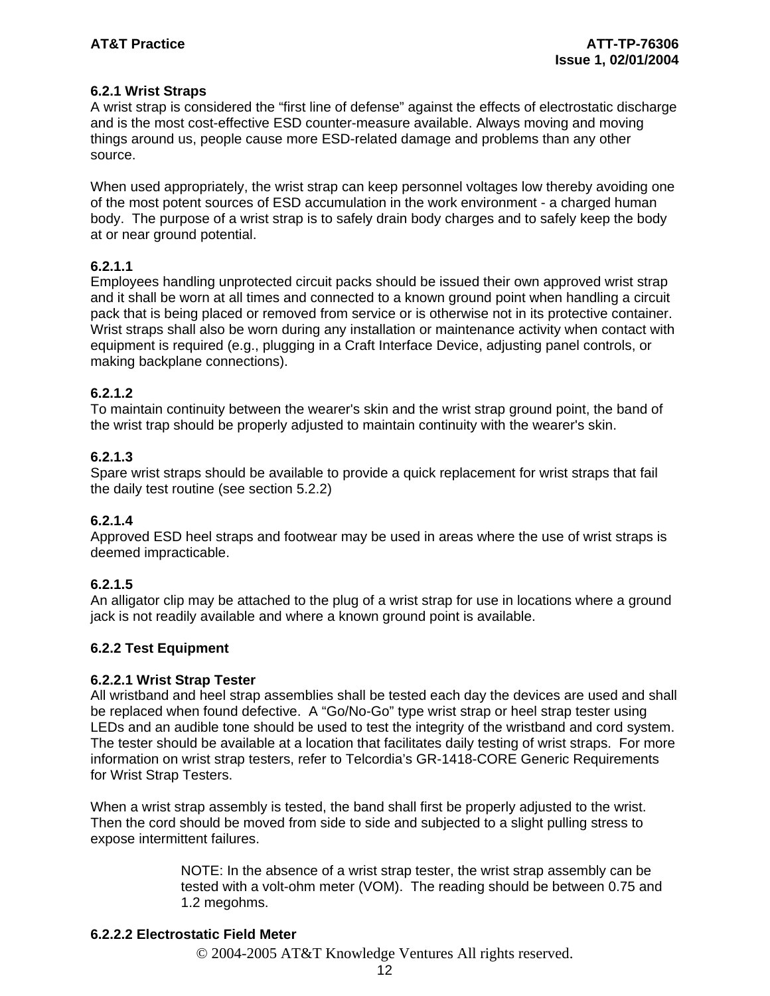#### **6.2.1 Wrist Straps**

A wrist strap is considered the "first line of defense" against the effects of electrostatic discharge and is the most cost-effective ESD counter-measure available. Always moving and moving things around us, people cause more ESD-related damage and problems than any other source.

When used appropriately, the wrist strap can keep personnel voltages low thereby avoiding one of the most potent sources of ESD accumulation in the work environment - a charged human body. The purpose of a wrist strap is to safely drain body charges and to safely keep the body at or near ground potential.

#### **6.2.1.1**

Employees handling unprotected circuit packs should be issued their own approved wrist strap and it shall be worn at all times and connected to a known ground point when handling a circuit pack that is being placed or removed from service or is otherwise not in its protective container. Wrist straps shall also be worn during any installation or maintenance activity when contact with equipment is required (e.g., plugging in a Craft Interface Device, adjusting panel controls, or making backplane connections).

#### **6.2.1.2**

To maintain continuity between the wearer's skin and the wrist strap ground point, the band of the wrist trap should be properly adjusted to maintain continuity with the wearer's skin.

#### **6.2.1.3**

Spare wrist straps should be available to provide a quick replacement for wrist straps that fail the daily test routine (see section 5.2.2)

#### **6.2.1.4**

Approved ESD heel straps and footwear may be used in areas where the use of wrist straps is deemed impracticable.

#### **6.2.1.5**

An alligator clip may be attached to the plug of a wrist strap for use in locations where a ground jack is not readily available and where a known ground point is available.

#### **6.2.2 Test Equipment**

#### **6.2.2.1 Wrist Strap Tester**

All wristband and heel strap assemblies shall be tested each day the devices are used and shall be replaced when found defective. A "Go/No-Go" type wrist strap or heel strap tester using LEDs and an audible tone should be used to test the integrity of the wristband and cord system. The tester should be available at a location that facilitates daily testing of wrist straps. For more information on wrist strap testers, refer to Telcordia's GR-1418-CORE Generic Requirements for Wrist Strap Testers.

When a wrist strap assembly is tested, the band shall first be properly adjusted to the wrist. Then the cord should be moved from side to side and subjected to a slight pulling stress to expose intermittent failures.

> NOTE: In the absence of a wrist strap tester, the wrist strap assembly can be tested with a volt-ohm meter (VOM). The reading should be between 0.75 and 1.2 megohms.

#### **6.2.2.2 Electrostatic Field Meter**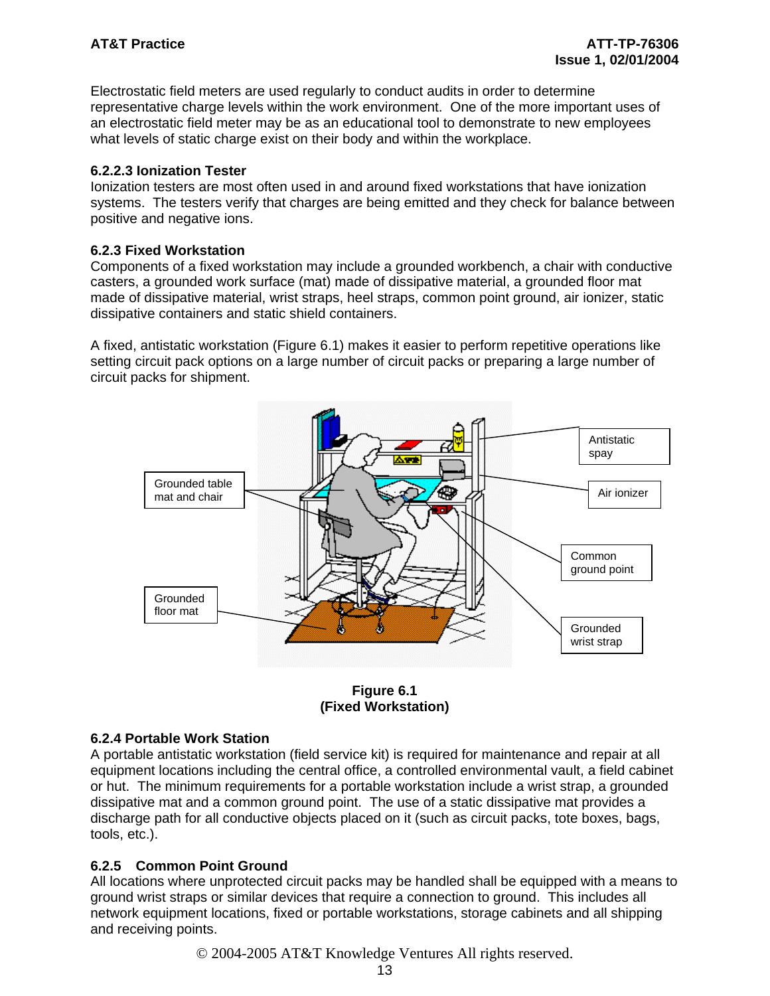Electrostatic field meters are used regularly to conduct audits in order to determine representative charge levels within the work environment. One of the more important uses of an electrostatic field meter may be as an educational tool to demonstrate to new employees what levels of static charge exist on their body and within the workplace.

#### **6.2.2.3 Ionization Tester**

Ionization testers are most often used in and around fixed workstations that have ionization systems. The testers verify that charges are being emitted and they check for balance between positive and negative ions.

#### **6.2.3 Fixed Workstation**

Components of a fixed workstation may include a grounded workbench, a chair with conductive casters, a grounded work surface (mat) made of dissipative material, a grounded floor mat made of dissipative material, wrist straps, heel straps, common point ground, air ionizer, static dissipative containers and static shield containers.

A fixed, antistatic workstation (Figure 6.1) makes it easier to perform repetitive operations like setting circuit pack options on a large number of circuit packs or preparing a large number of circuit packs for shipment.





#### **6.2.4 Portable Work Station**

A portable antistatic workstation (field service kit) is required for maintenance and repair at all equipment locations including the central office, a controlled environmental vault, a field cabinet or hut. The minimum requirements for a portable workstation include a wrist strap, a grounded dissipative mat and a common ground point. The use of a static dissipative mat provides a discharge path for all conductive objects placed on it (such as circuit packs, tote boxes, bags, tools, etc.).

#### **6.2.5 Common Point Ground**

All locations where unprotected circuit packs may be handled shall be equipped with a means to ground wrist straps or similar devices that require a connection to ground. This includes all network equipment locations, fixed or portable workstations, storage cabinets and all shipping and receiving points.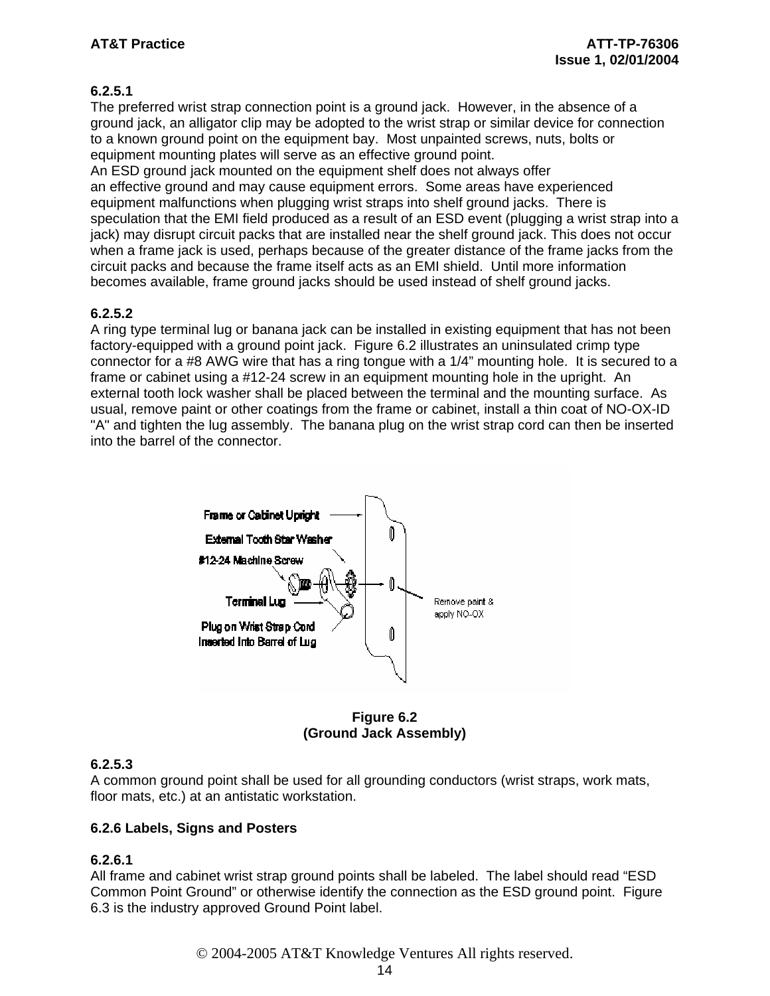### **6.2.5.1**

The preferred wrist strap connection point is a ground jack. However, in the absence of a ground jack, an alligator clip may be adopted to the wrist strap or similar device for connection to a known ground point on the equipment bay. Most unpainted screws, nuts, bolts or equipment mounting plates will serve as an effective ground point.

An ESD ground jack mounted on the equipment shelf does not always offer an effective ground and may cause equipment errors. Some areas have experienced equipment malfunctions when plugging wrist straps into shelf ground jacks. There is speculation that the EMI field produced as a result of an ESD event (plugging a wrist strap into a jack) may disrupt circuit packs that are installed near the shelf ground jack. This does not occur when a frame jack is used, perhaps because of the greater distance of the frame jacks from the circuit packs and because the frame itself acts as an EMI shield. Until more information becomes available, frame ground jacks should be used instead of shelf ground jacks.

#### **6.2.5.2**

A ring type terminal lug or banana jack can be installed in existing equipment that has not been factory-equipped with a ground point jack. Figure 6.2 illustrates an uninsulated crimp type connector for a #8 AWG wire that has a ring tongue with a 1/4" mounting hole. It is secured to a frame or cabinet using a #12-24 screw in an equipment mounting hole in the upright. An external tooth lock washer shall be placed between the terminal and the mounting surface. As usual, remove paint or other coatings from the frame or cabinet, install a thin coat of NO-OX-ID "A" and tighten the lug assembly. The banana plug on the wrist strap cord can then be inserted into the barrel of the connector.



**Figure 6.2 (Ground Jack Assembly)** 

### **6.2.5.3**

A common ground point shall be used for all grounding conductors (wrist straps, work mats, floor mats, etc.) at an antistatic workstation.

#### **6.2.6 Labels, Signs and Posters**

### **6.2.6.1**

All frame and cabinet wrist strap ground points shall be labeled. The label should read "ESD Common Point Ground" or otherwise identify the connection as the ESD ground point. Figure 6.3 is the industry approved Ground Point label.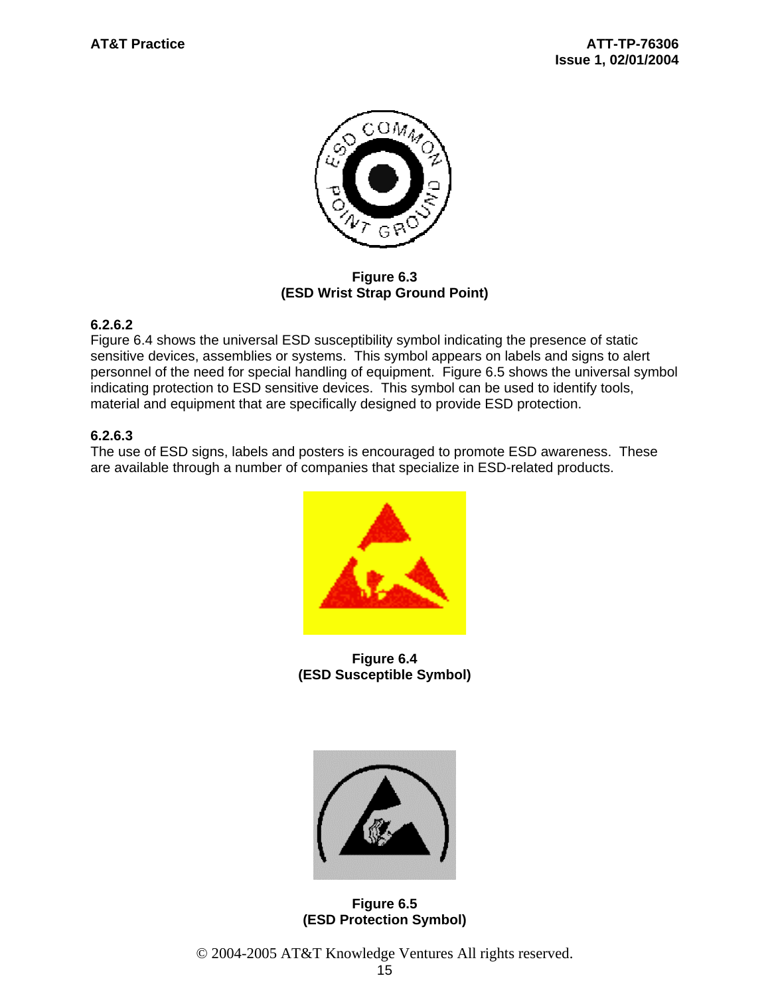

**Figure 6.3 (ESD Wrist Strap Ground Point)**

#### **6.2.6.2**

Figure 6.4 shows the universal ESD susceptibility symbol indicating the presence of static sensitive devices, assemblies or systems. This symbol appears on labels and signs to alert personnel of the need for special handling of equipment. Figure 6.5 shows the universal symbol indicating protection to ESD sensitive devices. This symbol can be used to identify tools, material and equipment that are specifically designed to provide ESD protection.

#### **6.2.6.3**

The use of ESD signs, labels and posters is encouraged to promote ESD awareness. These are available through a number of companies that specialize in ESD-related products.



**Figure 6.4 (ESD Susceptible Symbol)** 



**Figure 6.5 (ESD Protection Symbol)**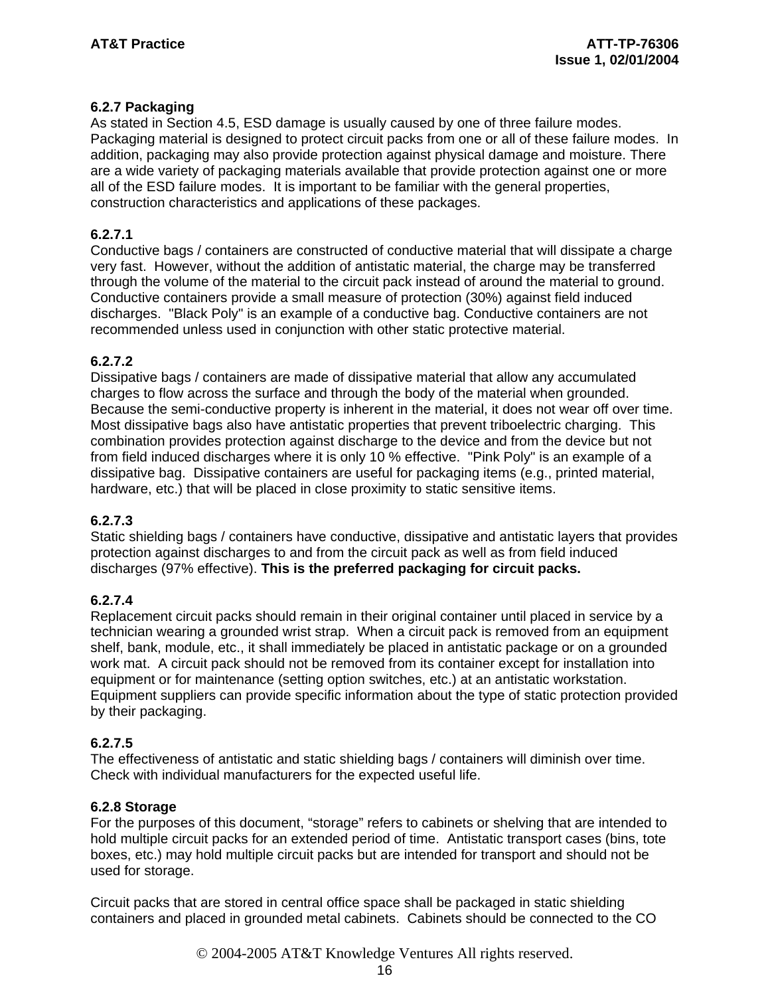#### **6.2.7 Packaging**

As stated in Section 4.5, ESD damage is usually caused by one of three failure modes. Packaging material is designed to protect circuit packs from one or all of these failure modes. In addition, packaging may also provide protection against physical damage and moisture. There are a wide variety of packaging materials available that provide protection against one or more all of the ESD failure modes. It is important to be familiar with the general properties, construction characteristics and applications of these packages.

#### **6.2.7.1**

Conductive bags / containers are constructed of conductive material that will dissipate a charge very fast. However, without the addition of antistatic material, the charge may be transferred through the volume of the material to the circuit pack instead of around the material to ground. Conductive containers provide a small measure of protection (30%) against field induced discharges. "Black Poly" is an example of a conductive bag. Conductive containers are not recommended unless used in conjunction with other static protective material.

#### **6.2.7.2**

Dissipative bags / containers are made of dissipative material that allow any accumulated charges to flow across the surface and through the body of the material when grounded. Because the semi-conductive property is inherent in the material, it does not wear off over time. Most dissipative bags also have antistatic properties that prevent triboelectric charging. This combination provides protection against discharge to the device and from the device but not from field induced discharges where it is only 10 % effective. "Pink Poly" is an example of a dissipative bag. Dissipative containers are useful for packaging items (e.g., printed material, hardware, etc.) that will be placed in close proximity to static sensitive items.

#### **6.2.7.3**

Static shielding bags / containers have conductive, dissipative and antistatic layers that provides protection against discharges to and from the circuit pack as well as from field induced discharges (97% effective). **This is the preferred packaging for circuit packs.**

#### **6.2.7.4**

Replacement circuit packs should remain in their original container until placed in service by a technician wearing a grounded wrist strap. When a circuit pack is removed from an equipment shelf, bank, module, etc., it shall immediately be placed in antistatic package or on a grounded work mat. A circuit pack should not be removed from its container except for installation into equipment or for maintenance (setting option switches, etc.) at an antistatic workstation. Equipment suppliers can provide specific information about the type of static protection provided by their packaging.

#### **6.2.7.5**

The effectiveness of antistatic and static shielding bags / containers will diminish over time. Check with individual manufacturers for the expected useful life.

#### **6.2.8 Storage**

For the purposes of this document, "storage" refers to cabinets or shelving that are intended to hold multiple circuit packs for an extended period of time. Antistatic transport cases (bins, tote boxes, etc.) may hold multiple circuit packs but are intended for transport and should not be used for storage.

Circuit packs that are stored in central office space shall be packaged in static shielding containers and placed in grounded metal cabinets. Cabinets should be connected to the CO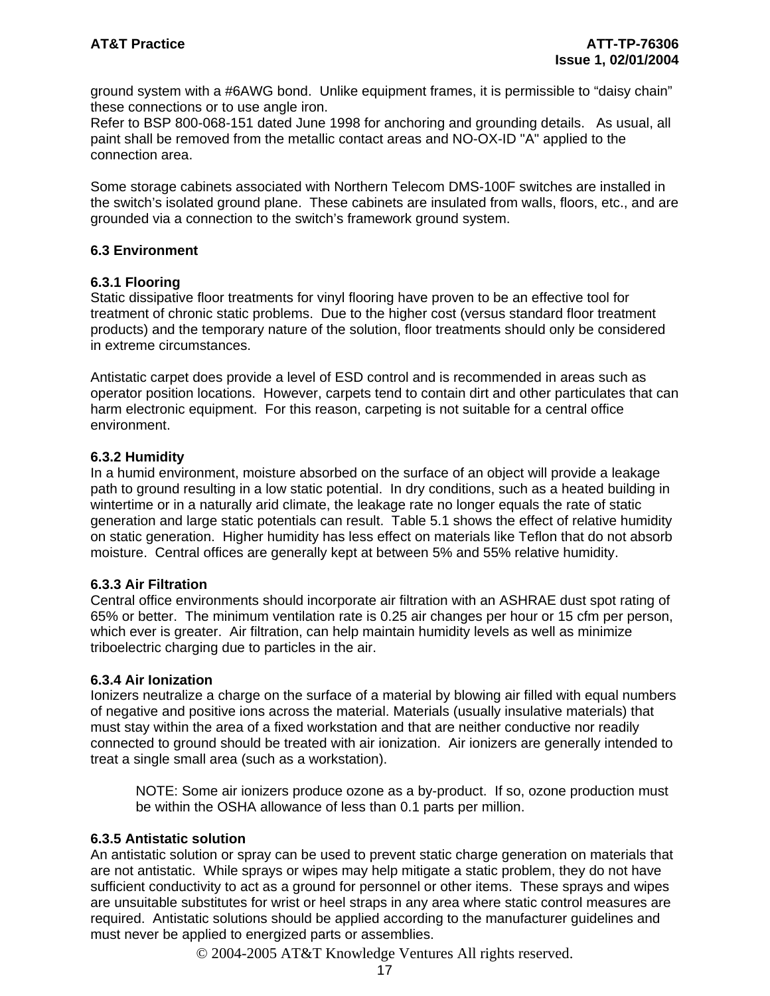ground system with a #6AWG bond. Unlike equipment frames, it is permissible to "daisy chain" these connections or to use angle iron.

Refer to BSP 800-068-151 dated June 1998 for anchoring and grounding details. As usual, all paint shall be removed from the metallic contact areas and NO-OX-ID "A" applied to the connection area.

Some storage cabinets associated with Northern Telecom DMS-100F switches are installed in the switch's isolated ground plane. These cabinets are insulated from walls, floors, etc., and are grounded via a connection to the switch's framework ground system.

#### **6.3 Environment**

#### **6.3.1 Flooring**

Static dissipative floor treatments for vinyl flooring have proven to be an effective tool for treatment of chronic static problems. Due to the higher cost (versus standard floor treatment products) and the temporary nature of the solution, floor treatments should only be considered in extreme circumstances.

Antistatic carpet does provide a level of ESD control and is recommended in areas such as operator position locations. However, carpets tend to contain dirt and other particulates that can harm electronic equipment. For this reason, carpeting is not suitable for a central office environment.

#### **6.3.2 Humidity**

In a humid environment, moisture absorbed on the surface of an object will provide a leakage path to ground resulting in a low static potential. In dry conditions, such as a heated building in wintertime or in a naturally arid climate, the leakage rate no longer equals the rate of static generation and large static potentials can result. Table 5.1 shows the effect of relative humidity on static generation. Higher humidity has less effect on materials like Teflon that do not absorb moisture. Central offices are generally kept at between 5% and 55% relative humidity.

#### **6.3.3 Air Filtration**

Central office environments should incorporate air filtration with an ASHRAE dust spot rating of 65% or better. The minimum ventilation rate is 0.25 air changes per hour or 15 cfm per person, which ever is greater. Air filtration, can help maintain humidity levels as well as minimize triboelectric charging due to particles in the air.

#### **6.3.4 Air Ionization**

Ionizers neutralize a charge on the surface of a material by blowing air filled with equal numbers of negative and positive ions across the material. Materials (usually insulative materials) that must stay within the area of a fixed workstation and that are neither conductive nor readily connected to ground should be treated with air ionization. Air ionizers are generally intended to treat a single small area (such as a workstation).

 NOTE: Some air ionizers produce ozone as a by-product. If so, ozone production must be within the OSHA allowance of less than 0.1 parts per million.

#### **6.3.5 Antistatic solution**

An antistatic solution or spray can be used to prevent static charge generation on materials that are not antistatic. While sprays or wipes may help mitigate a static problem, they do not have sufficient conductivity to act as a ground for personnel or other items. These sprays and wipes are unsuitable substitutes for wrist or heel straps in any area where static control measures are required. Antistatic solutions should be applied according to the manufacturer guidelines and must never be applied to energized parts or assemblies.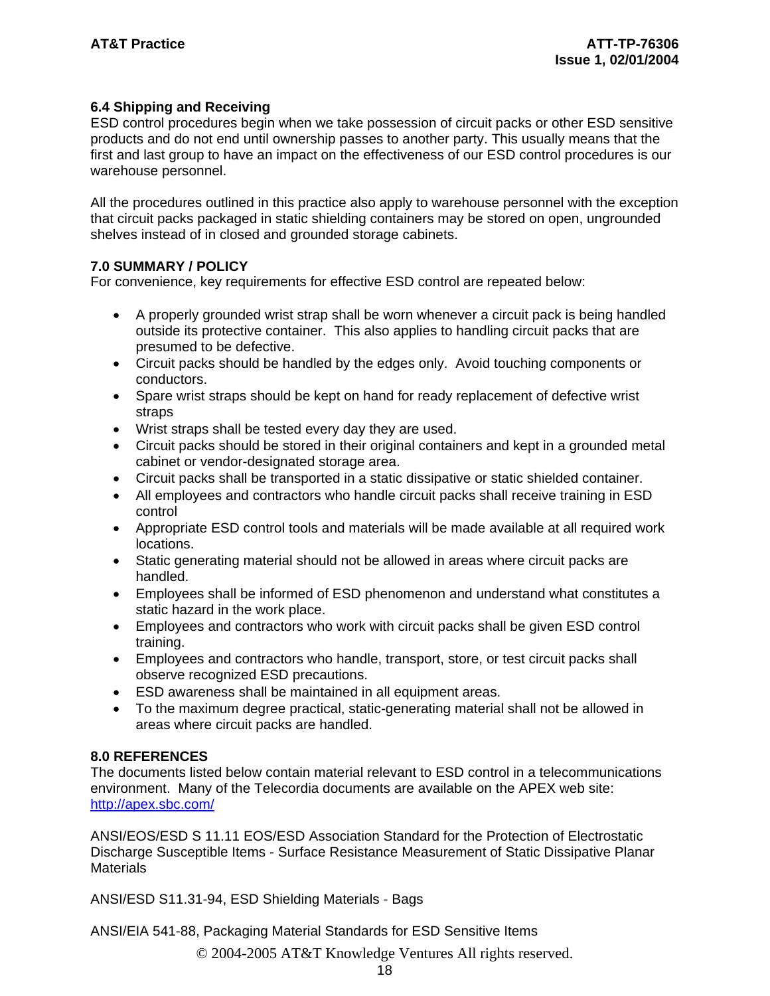#### **6.4 Shipping and Receiving**

ESD control procedures begin when we take possession of circuit packs or other ESD sensitive products and do not end until ownership passes to another party. This usually means that the first and last group to have an impact on the effectiveness of our ESD control procedures is our warehouse personnel.

All the procedures outlined in this practice also apply to warehouse personnel with the exception that circuit packs packaged in static shielding containers may be stored on open, ungrounded shelves instead of in closed and grounded storage cabinets.

#### **7.0 SUMMARY / POLICY**

For convenience, key requirements for effective ESD control are repeated below:

- A properly grounded wrist strap shall be worn whenever a circuit pack is being handled outside its protective container. This also applies to handling circuit packs that are presumed to be defective.
- Circuit packs should be handled by the edges only. Avoid touching components or conductors.
- Spare wrist straps should be kept on hand for ready replacement of defective wrist straps
- Wrist straps shall be tested every day they are used.
- Circuit packs should be stored in their original containers and kept in a grounded metal cabinet or vendor-designated storage area.
- Circuit packs shall be transported in a static dissipative or static shielded container.
- All employees and contractors who handle circuit packs shall receive training in ESD control
- Appropriate ESD control tools and materials will be made available at all required work locations.
- Static generating material should not be allowed in areas where circuit packs are handled.
- Employees shall be informed of ESD phenomenon and understand what constitutes a static hazard in the work place.
- Employees and contractors who work with circuit packs shall be given ESD control training.
- Employees and contractors who handle, transport, store, or test circuit packs shall observe recognized ESD precautions.
- ESD awareness shall be maintained in all equipment areas.
- To the maximum degree practical, static-generating material shall not be allowed in areas where circuit packs are handled.

#### **8.0 REFERENCES**

The documents listed below contain material relevant to ESD control in a telecommunications environment. Many of the Telecordia documents are available on the APEX web site: http://apex.sbc.com/

ANSI/EOS/ESD S 11.11 EOS/ESD Association Standard for the Protection of Electrostatic Discharge Susceptible Items - Surface Resistance Measurement of Static Dissipative Planar **Materials** 

ANSI/ESD S11.31-94, ESD Shielding Materials - Bags

ANSI/EIA 541-88, Packaging Material Standards for ESD Sensitive Items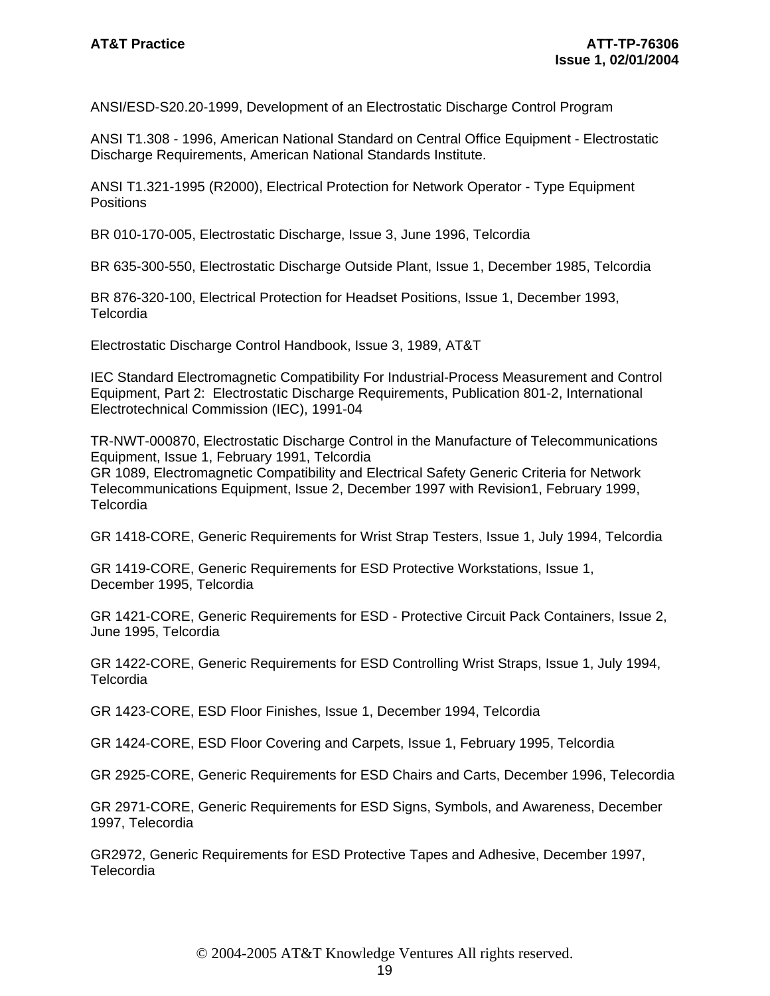ANSI/ESD-S20.20-1999, Development of an Electrostatic Discharge Control Program

ANSI T1.308 - 1996, American National Standard on Central Office Equipment - Electrostatic Discharge Requirements, American National Standards Institute.

ANSI T1.321-1995 (R2000), Electrical Protection for Network Operator - Type Equipment Positions

BR 010-170-005, Electrostatic Discharge, Issue 3, June 1996, Telcordia

BR 635-300-550, Electrostatic Discharge Outside Plant, Issue 1, December 1985, Telcordia

BR 876-320-100, Electrical Protection for Headset Positions, Issue 1, December 1993, Telcordia

Electrostatic Discharge Control Handbook, Issue 3, 1989, AT&T

IEC Standard Electromagnetic Compatibility For Industrial-Process Measurement and Control Equipment, Part 2: Electrostatic Discharge Requirements, Publication 801-2, International Electrotechnical Commission (IEC), 1991-04

TR-NWT-000870, Electrostatic Discharge Control in the Manufacture of Telecommunications Equipment, Issue 1, February 1991, Telcordia GR 1089, Electromagnetic Compatibility and Electrical Safety Generic Criteria for Network Telecommunications Equipment, Issue 2, December 1997 with Revision1, February 1999, **Telcordia** 

GR 1418-CORE, Generic Requirements for Wrist Strap Testers, Issue 1, July 1994, Telcordia

GR 1419-CORE, Generic Requirements for ESD Protective Workstations, Issue 1, December 1995, Telcordia

GR 1421-CORE, Generic Requirements for ESD - Protective Circuit Pack Containers, Issue 2, June 1995, Telcordia

GR 1422-CORE, Generic Requirements for ESD Controlling Wrist Straps, Issue 1, July 1994, **Telcordia** 

GR 1423-CORE, ESD Floor Finishes, Issue 1, December 1994, Telcordia

GR 1424-CORE, ESD Floor Covering and Carpets, Issue 1, February 1995, Telcordia

GR 2925-CORE, Generic Requirements for ESD Chairs and Carts, December 1996, Telecordia

GR 2971-CORE, Generic Requirements for ESD Signs, Symbols, and Awareness, December 1997, Telecordia

GR2972, Generic Requirements for ESD Protective Tapes and Adhesive, December 1997, Telecordia